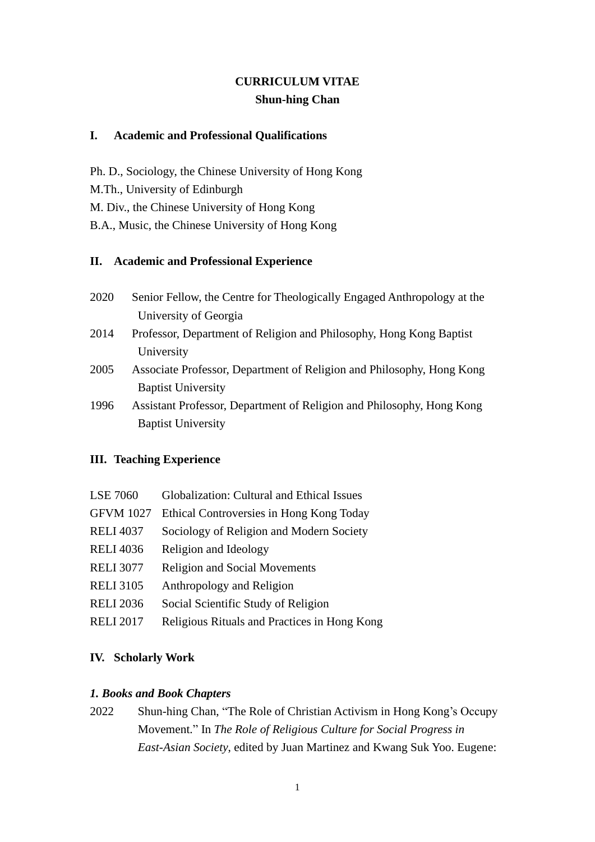# **CURRICULUM VITAE Shun-hing Chan**

### **I. Academic and Professional Qualifications**

Ph. D., Sociology, the Chinese University of Hong Kong M.Th., University of Edinburgh M. Div., the Chinese University of Hong Kong B.A., Music, the Chinese University of Hong Kong

### **II. Academic and Professional Experience**

- 2020 Senior Fellow, the Centre for Theologically Engaged Anthropology at the University of Georgia
- 2014 Professor, Department of Religion and Philosophy, Hong Kong Baptist University
- 2005 Associate Professor, Department of Religion and Philosophy, Hong Kong Baptist University
- 1996 Assistant Professor, Department of Religion and Philosophy, Hong Kong Baptist University

# **III. Teaching Experience**

| <b>LSE 7060</b>  | Globalization: Cultural and Ethical Issues   |
|------------------|----------------------------------------------|
| <b>GFVM 1027</b> | Ethical Controversies in Hong Kong Today     |
| <b>RELI 4037</b> | Sociology of Religion and Modern Society     |
| <b>RELI 4036</b> | Religion and Ideology                        |
| <b>RELI 3077</b> | <b>Religion and Social Movements</b>         |
| <b>RELI 3105</b> | Anthropology and Religion                    |
| <b>RELI 2036</b> | Social Scientific Study of Religion          |
| <b>RELI 2017</b> | Religious Rituals and Practices in Hong Kong |

# **IV. Scholarly Work**

# *1. Books and Book Chapters*

2022 Shun-hing Chan, "The Role of Christian Activism in Hong Kong's Occupy Movement." In *The Role of Religious Culture for Social Progress in East-Asian Society*, edited by Juan Martinez and Kwang Suk Yoo. Eugene: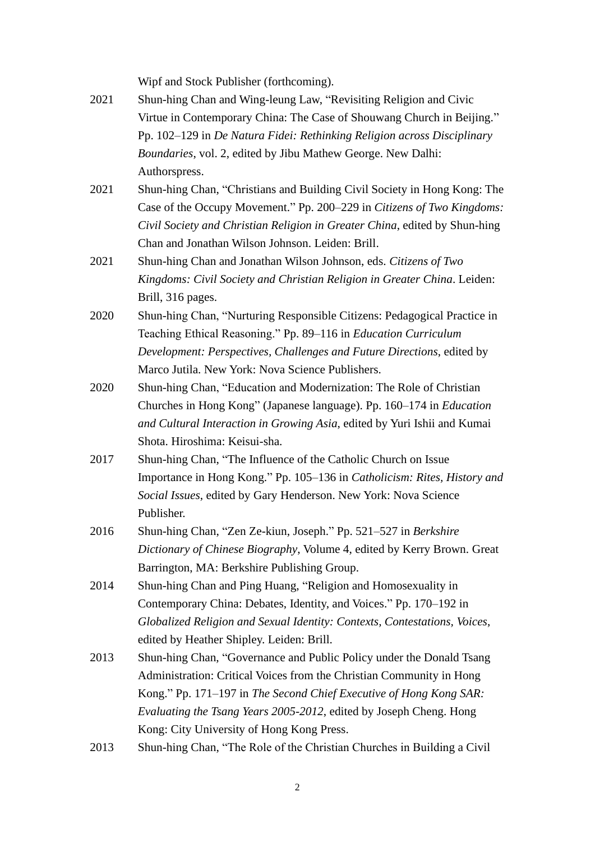Wipf and Stock Publisher (forthcoming).

- 2021 Shun-hing Chan and Wing-leung Law, "Revisiting Religion and Civic Virtue in Contemporary China: The Case of Shouwang Church in Beijing." Pp. 102–129 in *De Natura Fidei: Rethinking Religion across Disciplinary Boundaries*, vol. 2, edited by Jibu Mathew George. New Dalhi: Authorspress.
- 2021 Shun-hing Chan, "Christians and Building Civil Society in Hong Kong: The Case of the Occupy Movement." Pp. 200–229 in *Citizens of Two Kingdoms: Civil Society and Christian Religion in Greater China*, edited by Shun-hing Chan and Jonathan Wilson Johnson. Leiden: Brill.
- 2021 Shun-hing Chan and Jonathan Wilson Johnson, eds. *Citizens of Two Kingdoms: Civil Society and Christian Religion in Greater China*. Leiden: Brill, 316 pages.
- 2020 Shun-hing Chan, "Nurturing Responsible Citizens: Pedagogical Practice in Teaching Ethical Reasoning." Pp. 89–116 in *Education Curriculum Development: Perspectives, Challenges and Future Directions*, edited by Marco Jutila. New York: Nova Science Publishers.
- 2020 Shun-hing Chan, "Education and Modernization: The Role of Christian Churches in Hong Kong" (Japanese language). Pp. 160–174 in *Education and Cultural Interaction in Growing Asia*, edited by Yuri Ishii and Kumai Shota. Hiroshima: Keisui-sha.
- 2017 Shun-hing Chan, "The Influence of the Catholic Church on Issue Importance in Hong Kong." Pp. 105–136 in *Catholicism: Rites, History and Social Issues*, edited by Gary Henderson. New York: Nova Science Publisher.
- 2016 Shun-hing Chan, "Zen Ze-kiun, Joseph." Pp. 521–527 in *Berkshire Dictionary of Chinese Biography*, Volume 4, edited by Kerry Brown. Great Barrington, MA: Berkshire Publishing Group.
- 2014 Shun-hing Chan and Ping Huang, "Religion and Homosexuality in Contemporary China: Debates, Identity, and Voices." Pp. 170–192 in *Globalized Religion and Sexual Identity: Contexts, Contestations, Voices*, edited by Heather Shipley. Leiden: Brill.
- 2013 Shun-hing Chan, "Governance and Public Policy under the Donald Tsang Administration: Critical Voices from the Christian Community in Hong Kong." Pp. 171–197 in *The Second Chief Executive of Hong Kong SAR: Evaluating the Tsang Years 2005-2012*, edited by Joseph Cheng. Hong Kong: City University of Hong Kong Press.
- 2013 Shun-hing Chan, "The Role of the Christian Churches in Building a Civil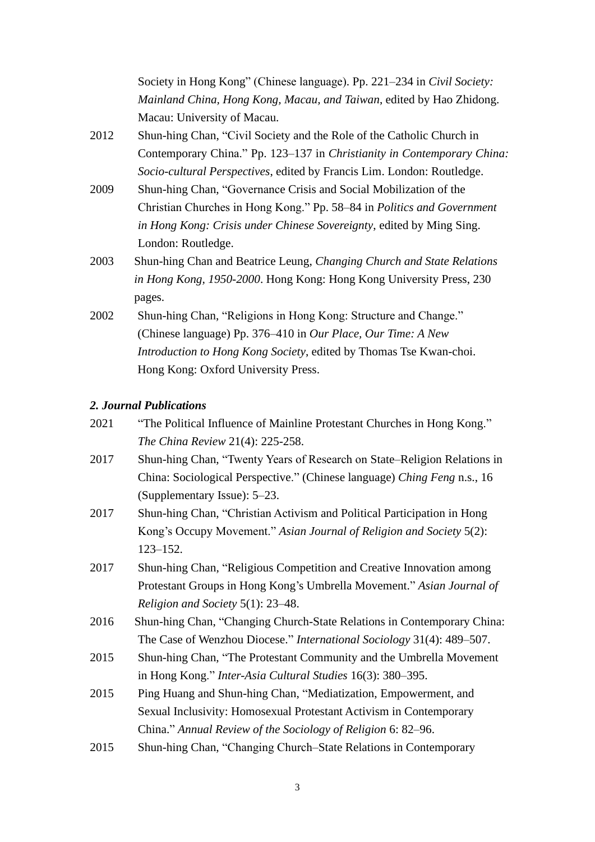Society in Hong Kong" (Chinese language). Pp. 221–234 in *Civil Society: Mainland China, Hong Kong, Macau, and Taiwan*, edited by Hao Zhidong. Macau: University of Macau.

- 2012 Shun-hing Chan, "Civil Society and the Role of the Catholic Church in Contemporary China." Pp. 123–137 in *Christianity in Contemporary China: Socio-cultural Perspectives*, edited by Francis Lim. London: Routledge.
- 2009 Shun-hing Chan, "Governance Crisis and Social Mobilization of the Christian Churches in Hong Kong." Pp. 58–84 in *Politics and Government in Hong Kong: Crisis under Chinese Sovereignty*, edited by Ming Sing. London: Routledge.
- 2003 Shun-hing Chan and Beatrice Leung, *Changing Church and State Relations in Hong Kong, 1950-2000*. Hong Kong: Hong Kong University Press, 230 pages.
- 2002 Shun-hing Chan, "Religions in Hong Kong: Structure and Change." (Chinese language) Pp. 376–410 in *Our Place, Our Time: A New Introduction to Hong Kong Society*, edited by Thomas Tse Kwan-choi. Hong Kong: Oxford University Press.

#### *2. Journal Publications*

- 2021 "The Political Influence of Mainline Protestant Churches in Hong Kong." *The China Review* 21(4): 225-258.
- 2017 Shun-hing Chan, "Twenty Years of Research on State–Religion Relations in China: Sociological Perspective." (Chinese language) *Ching Feng* n.s., 16 (Supplementary Issue): 5–23.
- 2017 Shun-hing Chan, "Christian Activism and Political Participation in Hong Kong's Occupy Movement." *Asian Journal of Religion and Society* 5(2): 123–152.
- 2017 Shun-hing Chan, "Religious Competition and Creative Innovation among Protestant Groups in Hong Kong's Umbrella Movement." *Asian Journal of Religion and Society* 5(1): 23–48.
- 2016 Shun-hing Chan, "Changing Church-State Relations in Contemporary China: The Case of Wenzhou Diocese." *International Sociology* 31(4): 489–507.
- 2015 Shun-hing Chan, "The Protestant Community and the Umbrella Movement in Hong Kong." *Inter-Asia Cultural Studies* 16(3): 380–395.
- 2015 Ping Huang and Shun-hing Chan, "Mediatization, Empowerment, and Sexual Inclusivity: Homosexual Protestant Activism in Contemporary China." *Annual Review of the Sociology of Religion* 6: 82–96.
- 2015 Shun-hing Chan, "Changing Church–State Relations in Contemporary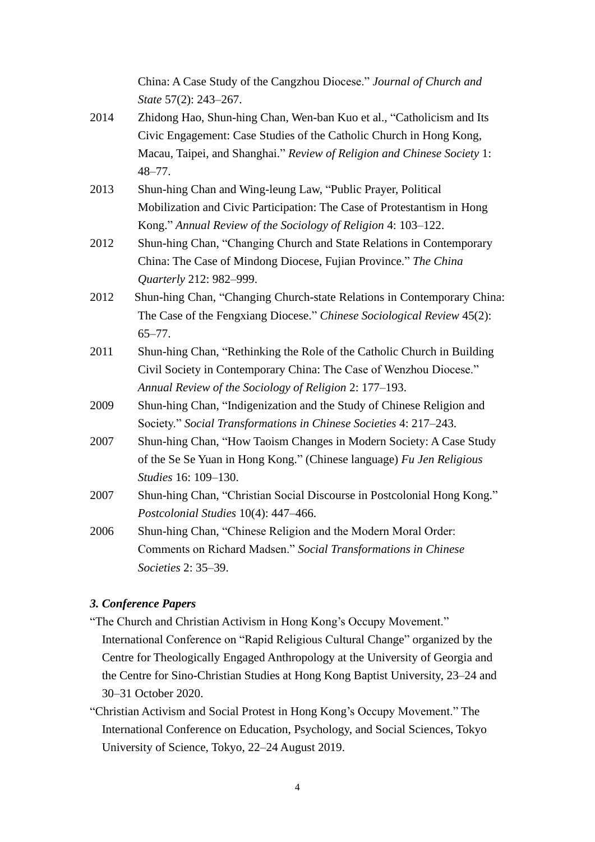China: A Case Study of the Cangzhou Diocese." *Journal of Church and State* 57(2): 243–267.

- 2014 Zhidong Hao, Shun-hing Chan, Wen-ban Kuo et al., "Catholicism and Its Civic Engagement: Case Studies of the Catholic Church in Hong Kong, Macau, Taipei, and Shanghai." *Review of Religion and Chinese Society* 1: 48–77.
- 2013 Shun-hing Chan and Wing-leung Law, "Public Prayer, Political Mobilization and Civic Participation: The Case of Protestantism in Hong Kong." *Annual Review of the Sociology of Religion* 4: 103–122.
- 2012 Shun-hing Chan, "Changing Church and State Relations in Contemporary China: The Case of Mindong Diocese, Fujian Province." *The China Quarterly* 212: 982–999.
- 2012 Shun-hing Chan, "Changing Church-state Relations in Contemporary China: The Case of the Fengxiang Diocese." *Chinese Sociological Review* 45(2): 65–77.
- 2011 Shun-hing Chan, "Rethinking the Role of the Catholic Church in Building Civil Society in Contemporary China: The Case of Wenzhou Diocese." *Annual Review of the Sociology of Religion* 2: 177–193.
- 2009 Shun-hing Chan, "Indigenization and the Study of Chinese Religion and Society." *Social Transformations in Chinese Societies* 4: 217–243.
- 2007 Shun-hing Chan, "How Taoism Changes in Modern Society: A Case Study of the Se Se Yuan in Hong Kong." (Chinese language) *Fu Jen Religious Studies* 16: 109–130.
- 2007 Shun-hing Chan, "Christian Social Discourse in Postcolonial Hong Kong." *Postcolonial Studies* 10(4): 447–466.
- 2006 Shun-hing Chan, "Chinese Religion and the Modern Moral Order: Comments on Richard Madsen." *Social Transformations in Chinese Societies* 2: 35–39.

# *3. Conference Papers*

- "The Church and Christian Activism in Hong Kong's Occupy Movement." International Conference on "Rapid Religious Cultural Change" organized by the Centre for Theologically Engaged Anthropology at the University of Georgia and the Centre for Sino-Christian Studies at Hong Kong Baptist University, 23–24 and 30–31 October 2020.
- "Christian Activism and Social Protest in Hong Kong's Occupy Movement." The International Conference on Education, Psychology, and Social Sciences, Tokyo University of Science, Tokyo, 22–24 August 2019.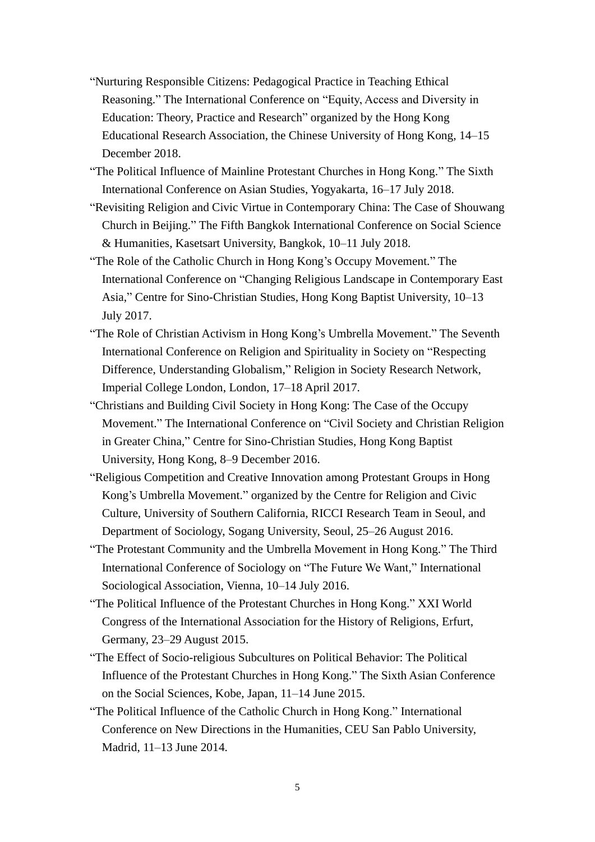- "Nurturing Responsible Citizens: Pedagogical Practice in Teaching Ethical Reasoning." The International Conference on "Equity, Access and Diversity in Education: Theory, Practice and Research" organized by the Hong Kong Educational Research Association, the Chinese University of Hong Kong, 14–15 December 2018.
- "The Political Influence of Mainline Protestant Churches in Hong Kong." The Sixth International Conference on Asian Studies, Yogyakarta, 16–17 July 2018.
- "Revisiting Religion and Civic Virtue in Contemporary China: The Case of Shouwang Church in Beijing." The Fifth Bangkok International Conference on Social Science & Humanities, Kasetsart University, Bangkok, 10–11 July 2018.
- "The Role of the Catholic Church in Hong Kong's Occupy Movement." The International Conference on "Changing Religious Landscape in Contemporary East Asia," Centre for Sino-Christian Studies, Hong Kong Baptist University, 10–13 July 2017.
- "The Role of Christian Activism in Hong Kong's Umbrella Movement." The Seventh International Conference on Religion and Spirituality in Society on "Respecting Difference, Understanding Globalism," Religion in Society Research Network, Imperial College London, London, 17–18 April 2017.
- "Christians and Building Civil Society in Hong Kong: The Case of the Occupy Movement." The International Conference on "Civil Society and Christian Religion in Greater China," Centre for Sino-Christian Studies, Hong Kong Baptist University, Hong Kong, 8–9 December 2016.
- "Religious Competition and Creative Innovation among Protestant Groups in Hong Kong's Umbrella Movement." organized by the Centre for Religion and Civic Culture, University of Southern California, RICCI Research Team in Seoul, and Department of Sociology, Sogang University, Seoul, 25–26 August 2016.
- "The Protestant Community and the Umbrella Movement in Hong Kong." The Third International Conference of Sociology on "The Future We Want," International Sociological Association, Vienna, 10–14 July 2016.
- "The Political Influence of the Protestant Churches in Hong Kong." XXI World Congress of the International Association for the History of Religions, Erfurt, Germany, 23–29 August 2015.
- "The Effect of Socio-religious Subcultures on Political Behavior: The Political Influence of the Protestant Churches in Hong Kong." The Sixth Asian Conference on the Social Sciences, Kobe, Japan, 11–14 June 2015.
- "The Political Influence of the Catholic Church in Hong Kong." International Conference on New Directions in the Humanities, CEU San Pablo University, Madrid, 11–13 June 2014.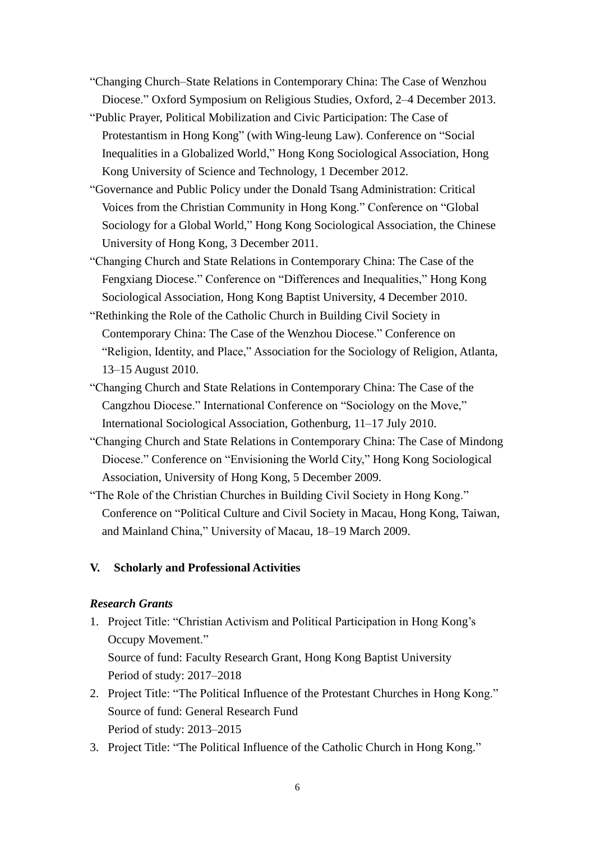- "Changing Church–State Relations in Contemporary China: The Case of Wenzhou Diocese." Oxford Symposium on Religious Studies, Oxford, 2–4 December 2013.
- "Public Prayer, Political Mobilization and Civic Participation: The Case of Protestantism in Hong Kong" (with Wing-leung Law). Conference on "Social Inequalities in a Globalized World," Hong Kong Sociological Association, Hong Kong University of Science and Technology, 1 December 2012.
- "Governance and Public Policy under the Donald Tsang Administration: Critical Voices from the Christian Community in Hong Kong." Conference on "Global Sociology for a Global World," Hong Kong Sociological Association, the Chinese University of Hong Kong, 3 December 2011.
- "Changing Church and State Relations in Contemporary China: The Case of the Fengxiang Diocese." Conference on "Differences and Inequalities," Hong Kong Sociological Association, Hong Kong Baptist University, 4 December 2010.
- "Rethinking the Role of the Catholic Church in Building Civil Society in Contemporary China: The Case of the Wenzhou Diocese." Conference on "Religion, Identity, and Place," Association for the Sociology of Religion, Atlanta, 13–15 August 2010.
- "Changing Church and State Relations in Contemporary China: The Case of the Cangzhou Diocese." International Conference on "Sociology on the Move," International Sociological Association, Gothenburg, 11–17 July 2010.
- "Changing Church and State Relations in Contemporary China: The Case of Mindong Diocese." Conference on "Envisioning the World City," Hong Kong Sociological Association, University of Hong Kong, 5 December 2009.
- "The Role of the Christian Churches in Building Civil Society in Hong Kong." Conference on "Political Culture and Civil Society in Macau, Hong Kong, Taiwan, and Mainland China," University of Macau, 18–19 March 2009.

#### **V. Scholarly and Professional Activities**

#### *Research Grants*

- 1. Project Title: "Christian Activism and Political Participation in Hong Kong's Occupy Movement." Source of fund: Faculty Research Grant, Hong Kong Baptist University Period of study: 2017–2018
- 2. Project Title: "The Political Influence of the Protestant Churches in Hong Kong." Source of fund: General Research Fund Period of study: 2013–2015
- 3. Project Title: "The Political Influence of the Catholic Church in Hong Kong."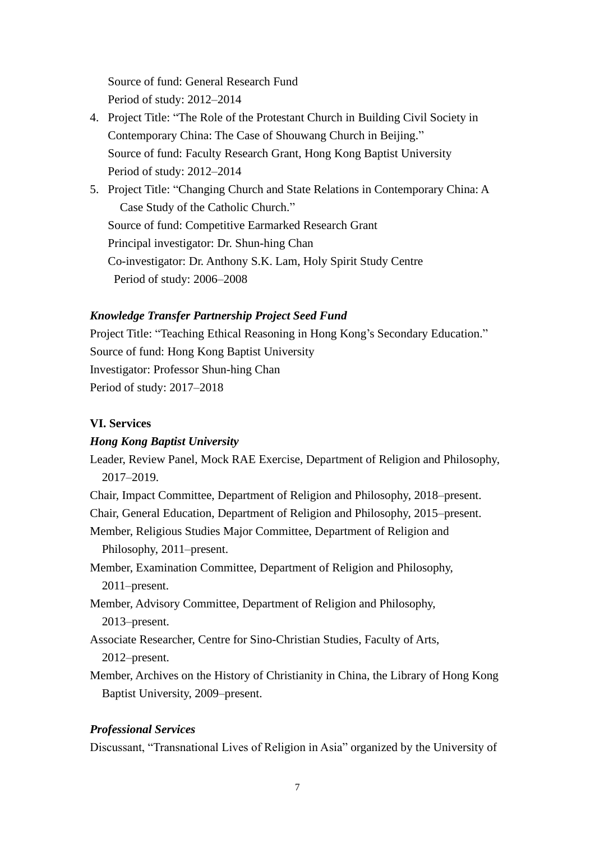Source of fund: General Research Fund Period of study: 2012–2014

- 4. Project Title: "The Role of the Protestant Church in Building Civil Society in Contemporary China: The Case of Shouwang Church in Beijing." Source of fund: Faculty Research Grant, Hong Kong Baptist University Period of study: 2012–2014
- 5. Project Title: "Changing Church and State Relations in Contemporary China: A Case Study of the Catholic Church." Source of fund: Competitive Earmarked Research Grant Principal investigator: Dr. Shun-hing Chan Co-investigator: Dr. Anthony S.K. Lam, Holy Spirit Study Centre Period of study: 2006–2008

### *Knowledge Transfer Partnership Project Seed Fund*

Project Title: "Teaching Ethical Reasoning in Hong Kong's Secondary Education." Source of fund: Hong Kong Baptist University Investigator: Professor Shun-hing Chan Period of study: 2017–2018

#### **VI. Services**

#### *Hong Kong Baptist University*

Leader, Review Panel, Mock RAE Exercise, Department of Religion and Philosophy, 2017–2019.

Chair, Impact Committee, Department of Religion and Philosophy, 2018–present.

Chair, General Education, Department of Religion and Philosophy, 2015–present.

Member, Religious Studies Major Committee, Department of Religion and Philosophy, 2011–present.

Member, Examination Committee, Department of Religion and Philosophy, 2011–present.

Member, Advisory Committee, Department of Religion and Philosophy, 2013–present.

Associate Researcher, Centre for Sino-Christian Studies, Faculty of Arts, 2012–present.

Member, Archives on the History of Christianity in China, the Library of Hong Kong Baptist University, 2009–present.

#### *Professional Services*

Discussant, "Transnational Lives of Religion in Asia" organized by the University of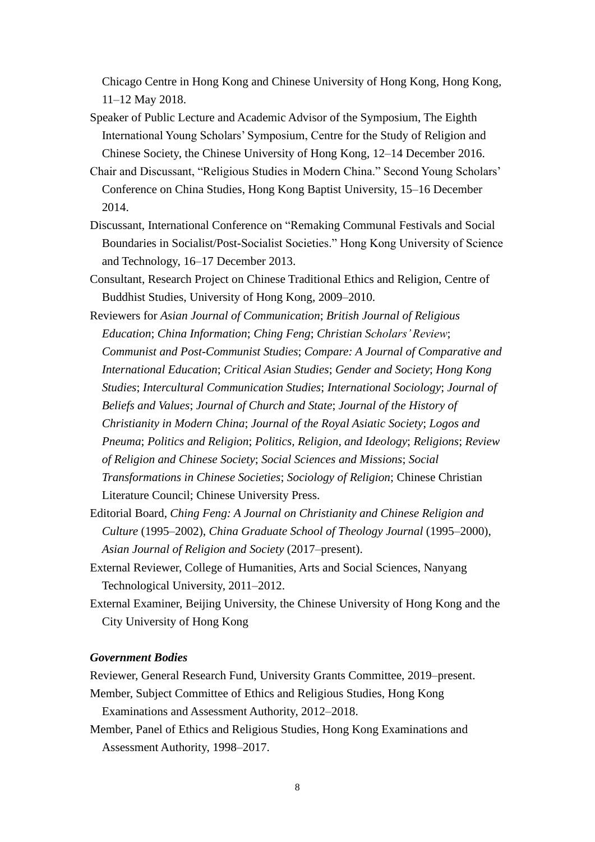Chicago Centre in Hong Kong and Chinese University of Hong Kong, Hong Kong, 11–12 May 2018.

- Speaker of Public Lecture and Academic Advisor of the Symposium, The Eighth International Young Scholars' Symposium, Centre for the Study of Religion and Chinese Society, the Chinese University of Hong Kong, 12–14 December 2016.
- Chair and Discussant, "Religious Studies in Modern China." Second Young Scholars' Conference on China Studies, Hong Kong Baptist University, 15–16 December 2014.
- Discussant, International Conference on "Remaking Communal Festivals and Social Boundaries in Socialist/Post-Socialist Societies." Hong Kong University of Science and Technology, 16–17 December 2013.
- Consultant, Research Project on Chinese Traditional Ethics and Religion, Centre of Buddhist Studies, University of Hong Kong, 2009–2010.
- Reviewers for *Asian Journal of Communication*; *British Journal of Religious Education*; *China Information*; *Ching Feng*; *Christian Scholars' Review*; *Communist and Post-Communist Studies*; *Compare: A Journal of Comparative and International Education*; *Critical Asian Studies*; *Gender and Society*; *Hong Kong Studies*; *Intercultural Communication Studies*; *International Sociology*; *Journal of Beliefs and Values*; *Journal of Church and State*; *Journal of the History of Christianity in Modern China*; *Journal of the Royal Asiatic Society*; *Logos and Pneuma*; *Politics and Religion*; *Politics, Religion, and Ideology*; *Religions*; *Review of Religion and Chinese Society*; *Social Sciences and Missions*; *Social Transformations in Chinese Societies*; *Sociology of Religion*; Chinese Christian Literature Council; Chinese University Press.
- Editorial Board, *Ching Feng: A Journal on Christianity and Chinese Religion and Culture* (1995–2002), *China Graduate School of Theology Journal* (1995–2000), *Asian Journal of Religion and Society* (2017–present).
- External Reviewer, College of Humanities, Arts and Social Sciences, Nanyang Technological University, 2011–2012.
- External Examiner, Beijing University, the Chinese University of Hong Kong and the City University of Hong Kong

#### *Government Bodies*

Reviewer, General Research Fund, University Grants Committee, 2019–present.

- Member, Subject Committee of Ethics and Religious Studies, Hong Kong Examinations and Assessment Authority, 2012–2018.
- Member, Panel of Ethics and Religious Studies, Hong Kong Examinations and Assessment Authority, 1998–2017.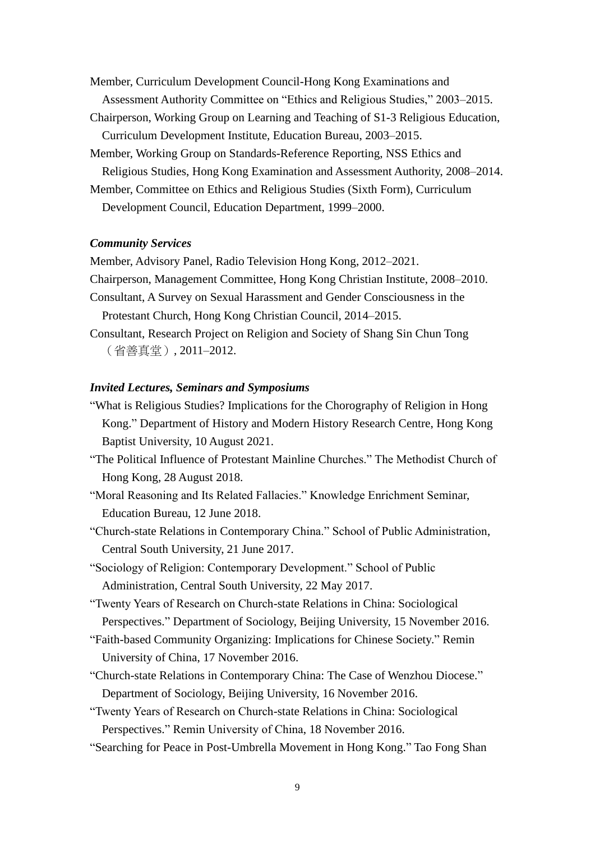Member, Curriculum Development Council-Hong Kong Examinations and Assessment Authority Committee on "Ethics and Religious Studies," 2003–2015.

- Chairperson, Working Group on Learning and Teaching of S1-3 Religious Education, Curriculum Development Institute, Education Bureau, 2003–2015.
- Member, Working Group on Standards-Reference Reporting, NSS Ethics and

Religious Studies, Hong Kong Examination and Assessment Authority, 2008–2014.

Member, Committee on Ethics and Religious Studies (Sixth Form), Curriculum

Development Council, Education Department, 1999–2000.

#### *Community Services*

Member, Advisory Panel, Radio Television Hong Kong, 2012–2021.

Chairperson, Management Committee, Hong Kong Christian Institute, 2008–2010.

Consultant, A Survey on Sexual Harassment and Gender Consciousness in the Protestant Church, Hong Kong Christian Council, 2014–2015.

Consultant, Research Project on Religion and Society of Shang Sin Chun Tong (省善真堂), 2011–2012.

#### *Invited Lectures, Seminars and Symposiums*

- "What is Religious Studies? Implications for the Chorography of Religion in Hong Kong." Department of History and Modern History Research Centre, Hong Kong Baptist University, 10 August 2021.
- "The Political Influence of Protestant Mainline Churches." The Methodist Church of Hong Kong, 28 August 2018.
- "Moral Reasoning and Its Related Fallacies." Knowledge Enrichment Seminar, Education Bureau, 12 June 2018.
- "Church-state Relations in Contemporary China." School of Public Administration, Central South University, 21 June 2017.

"Sociology of Religion: Contemporary Development." School of Public Administration, Central South University, 22 May 2017.

"Twenty Years of Research on Church-state Relations in China: Sociological Perspectives." Department of Sociology, Beijing University, 15 November 2016.

- "Faith-based Community Organizing: Implications for Chinese Society." Remin University of China, 17 November 2016.
- "Church-state Relations in Contemporary China: The Case of Wenzhou Diocese." Department of Sociology, Beijing University, 16 November 2016.

"Twenty Years of Research on Church-state Relations in China: Sociological Perspectives." Remin University of China, 18 November 2016.

"Searching for Peace in Post-Umbrella Movement in Hong Kong." Tao Fong Shan